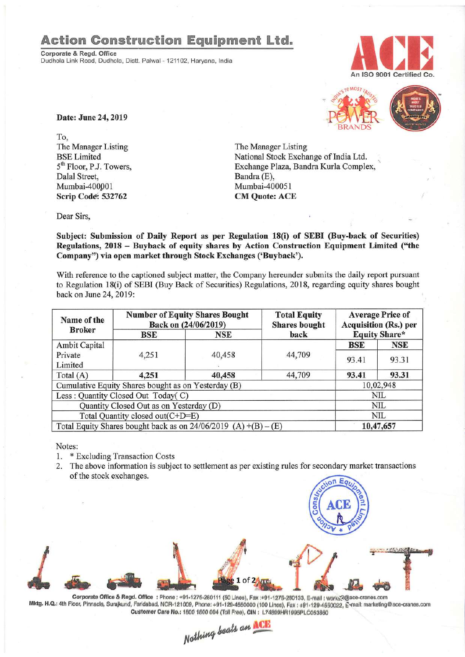## **Action Construction Equipment Ltd.**

Corporate & Regd. Office Dudhola Link Road, Dudhola, Distt. Palwal - 121102, Haryana, India





Date: June 24, 2019

To, The Manager Listing BSELimited 5<sup>th</sup> Floor, P.J. Towers, Dalal Street, Mumbai-400001 Scrip Code: 532762

The Manager Listing National Stock Exchange of India Ltd. Exchange Plaza, Bandra Kurla Complex, Bandra (E), Mumbai-400051 CM Quote: ACE

Dear Sirs,

Subject: Submission of Daily Report as per Regulation 18(i) of SEBI (Buy-back of Securities) Regulations, 2018 - Buyback of equity shares by Action Construction Equipment Limited ("the Company") via open market through Stock Exchanges ('Buyback').

With reference to the captioned subject matter, the Company hereunder submits the daily report pursuant to Regulation 18(i) of SEBI (Buy Back of Securities) Regulations, 2018, regarding equity shares bought back on June 24,2019:

| Name of the<br><b>Broker</b>                                      | <b>Number of Equity Shares Bought</b><br>Back on (24/06/2019) |            | <b>Total Equity</b><br><b>Shares</b> bought | <b>Average Price of</b><br><b>Acquisition (Rs.) per</b> |            |  |
|-------------------------------------------------------------------|---------------------------------------------------------------|------------|---------------------------------------------|---------------------------------------------------------|------------|--|
|                                                                   | BSE                                                           | <b>NSE</b> | back                                        | <b>Equity Share*</b>                                    |            |  |
| <b>Ambit Capital</b>                                              |                                                               |            |                                             | <b>BSE</b>                                              | <b>NSE</b> |  |
| Private                                                           | 4,251                                                         | 40,458     | 44,709                                      | 93.41                                                   | 93.31      |  |
| Limited                                                           |                                                               |            |                                             |                                                         |            |  |
| Total $(A)$                                                       | 4,251                                                         | 40,458     | 44,709                                      | 93.41                                                   | 93.31      |  |
| Cumulative Equity Shares bought as on Yesterday (B)               |                                                               |            |                                             | 10,02,948                                               |            |  |
| Less: Quantity Closed Out Today(C)                                |                                                               |            |                                             | NIL                                                     |            |  |
| Quantity Closed Out as on Yesterday (D)                           |                                                               |            |                                             | NIL                                                     |            |  |
| Total Quantity closed out(C+D=E)                                  |                                                               |            |                                             |                                                         | NIL        |  |
| Total Equity Shares bought back as on $24/06/2019$ (A) +(B) – (E) |                                                               |            |                                             | 10,47,657                                               |            |  |

Notes:

- 1. \* Excluding Transaction Costs
- 2. The above information is subject to settlement as per existing rules for secondary market transactions of the stock exchanges.



Corporate Office & Regd. Office: Phone: +91-1275-280111 (50 Lines), Fax:+91-1275-280133, E-mail: works2@ace-cranes.com Mktg. H.Q.: 4th Floor, Pinnacle, Surajkund, Faridabad, NCR-121009, Phone: +91-129-4550000 (100 Lines), Fax : +91-129-4550022, E-mail: marketing@ace-cranes.com Customer Care No.: 1800 1800 004 (Toll Free), CIN: L74899HR1995PLC053860

*N~*

*/;4aUaIfi!9i*